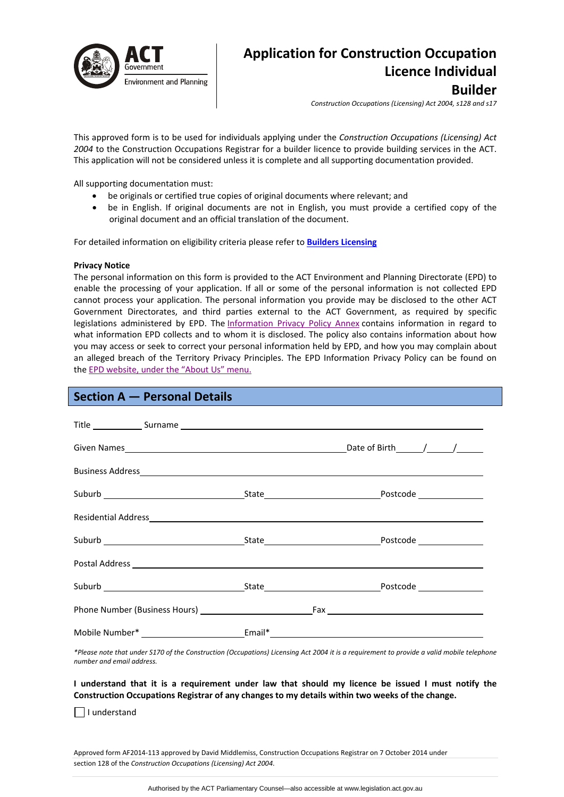

# **Application for Construction Occupation Licence Individual Builder**

*Construction Occupations (Licensing) Act 2004, s128 and s17*

This approved form is to be used for individuals applying under the *Construction Occupations (Licensing) Act 2004* to the Construction Occupations Registrar for a builder licence to provide building services in the ACT. This application will not be considered unless it is complete and all supporting documentation provided.

All supporting documentation must:

- be originals or certified true copies of original documents where relevant; and
- be in English. If original documents are not in English, you must provide a certified copy of the original document and an official translation of the document.

For detailed information on eligibility criteria please refer to **Builders [Licensing](http://www.actpla.act.gov.au/topics/hiring_licensing/licence_registration/builders)** 

### **Privacy Notice**

The personal information on this form is provided to the ACT Environment and Planning Directorate (EPD) to enable the processing of your application. If all or some of the personal information is not collected EPD cannot process your application. The personal information you provide may be disclosed to the other ACT Government Directorates, and third parties external to the ACT Government, as required by specific legislations administered by EPD. The [Information](http://www.environment.act.gov.au/__data/assets/pdf_file/0006/633741/Information-Privacy-Policy-Annex.pdf) Privacy Policy Annex contains information in regard to what information EPD collects and to whom it is disclosed. The policy also contains information about how you may access or seek to correct your personal information held by EPD, and how you may complain about an alleged breach of the Territory Privacy Principles. The EPD Information Privacy Policy can be found on the EPD [website,](http://www.environment.act.gov.au/about/privacy) under the "About Us" menu.

# **Section A — Personal Details**

|  | Residential Address experience and the contract of the contract of the contract of the contract of the contract of the contract of the contract of the contract of the contract of the contract of the contract of the contrac |
|--|--------------------------------------------------------------------------------------------------------------------------------------------------------------------------------------------------------------------------------|
|  |                                                                                                                                                                                                                                |
|  |                                                                                                                                                                                                                                |
|  |                                                                                                                                                                                                                                |
|  |                                                                                                                                                                                                                                |
|  |                                                                                                                                                                                                                                |

\*Please note that under S170 of the Construction (Occupations) Licensing Act 2004 it is a requirement to provide a valid mobile telephone *number and email address.* 

I understand that it is a requirement under law that should my licence be issued I must notify the **Construction Occupations Registrar of any changes to my details within two weeks of the change.** 

I understand

Approved form AF2014‐113 approved by David Middlemiss, Construction Occupations Registrar on 7 October 2014 under section 128 of the *Construction Occupations (Licensing) Act 2004*.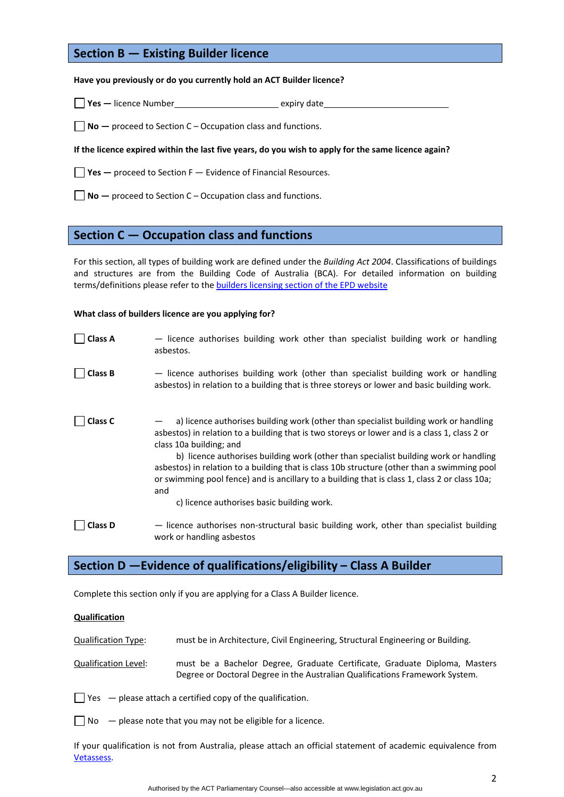# **Section B — Existing Builder licence**

### **Have you previously or do you currently hold an ACT Builder licence?**

□ Yes — licence Number **a** a series a series and the expiry date

**No —** proceed to Section C – Occupation class and functions.

#### If the licence expired within the last five years, do you wish to apply for the same licence again?

**Yes —** proceed to Section F — Evidence of Financial Resources.

**No —** proceed to Section C – Occupation class and functions.

# **Section C — Occupation class and functions**

For this section, all types of building work are defined under the *Building Act 2004*. Classifications of buildings and structures are from the Building Code of Australia (BCA). For detailed information on building terms/definitions please refer to the builders [licensing](http://www.actpla.act.gov.au/topics/hiring_licensing/licence_registration/builders) section of the EPD website

#### **What class of builders licence are you applying for?**

**Class A** - licence authorises building work other than specialist building work or handling asbestos. **Class B** - licence authorises building work (other than specialist building work or handling asbestos) in relation to a building that is three storeys or lower and basic building work. **Class <b>C**  $-$  a) licence authorises building work (other than specialist building work or handling asbestos) in relation to a building that is two storeys or lower and is a class 1, class 2 or class 10a building; and b) licence authorises building work (other than specialist building work or handling asbestos) in relation to a building that is class 10b structure (other than a swimming pool or swimming pool fence) and is ancillary to a building that is class 1, class 2 or class 10a; and c) licence authorises basic building work. □ **Class D**  $\blacksquare$  **dience authorises non-structural basic building work, other than specialist building** work or handling asbestos

# **Section D —Evidence of qualifications/eligibility – Class A Builder**

Complete this section only if you are applying for a Class A Builder licence.

### **Qualification**

Qualification Type: must be in Architecture, Civil Engineering, Structural Engineering or Building.

- Qualification Level: must be a Bachelor Degree, Graduate Certificate, Graduate Diploma, Masters Degree or Doctoral Degree in the Australian Qualifications Framework System.
- $\Box$  Yes  $-$  please attach a certified copy of the qualification.

 $\Box$  No  $-$  please note that you may not be eligible for a licence.

If your qualification is not from Australia, please attach an official statement of academic equivalence from [Vetassess](http://www.vetassess.com.au/).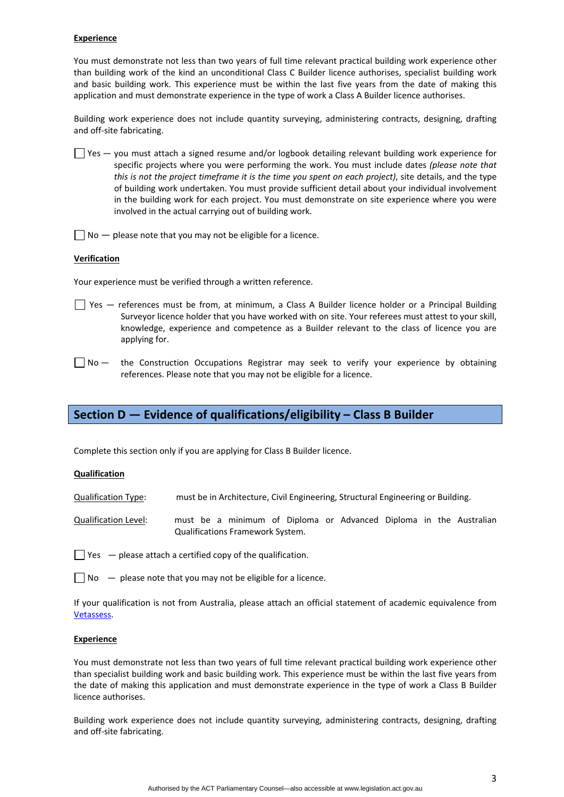### **Experience**

You must demonstrate not less than two years of full time relevant practical building work experience other than building work of the kind an unconditional Class C Builder licence authorises, specialist building work and basic building work. This experience must be within the last five years from the date of making this application and must demonstrate experience in the type of work a Class A Builder licence authorises.

Building work experience does not include quantity surveying, administering contracts, designing, drafting and off‐site fabricating.

 $\Box$  Yes — you must attach a signed resume and/or logbook detailing relevant building work experience for specific projects where you were performing the work. You must include dates *(please note that this is not the project timeframe it is the time you spent on each project)*, site details, and the type of building work undertaken. You must provide sufficient detail about your individual involvement in the building work for each project. You must demonstrate on site experience where you were involved in the actual carrying out of building work.

 $\Box$  No  $-$  please note that you may not be eligible for a licence.

### **Verification**

Your experience must be verified through a written reference.

- $\Box$  Yes  $-$  references must be from, at minimum, a Class A Builder licence holder or a Principal Building Surveyor licence holder that you have worked with on site. Your referees must attest to your skill, knowledge, experience and competence as a Builder relevant to the class of licence you are applying for.
- $\Box$  No  $-$  the Construction Occupations Registrar may seek to verify your experience by obtaining references. Please note that you may not be eligible for a licence.

# **Section D — Evidence of qualifications/eligibility – Class B Builder**

Complete this section only if you are applying for Class B Builder licence.

## **Qualification**

Qualification Type: must be in Architecture, Civil Engineering, Structural Engineering or Building.

Qualification Level: must be a minimum of Diploma or Advanced Diploma in the Australian Qualifications Framework System.

- $\Box$  Yes  $-$  please attach a certified copy of the qualification.
- $\Box$  No  $\Box$  please note that you may not be eligible for a licence.

If your qualification is not from Australia, please attach an official statement of academic equivalence from [Vetassess](http://www.vetassess.com.au/).

### **Experience**

You must demonstrate not less than two years of full time relevant practical building work experience other than specialist building work and basic building work. This experience must be within the last five years from the date of making this application and must demonstrate experience in the type of work a Class B Builder licence authorises.

Building work experience does not include quantity surveying, administering contracts, designing, drafting and off‐site fabricating.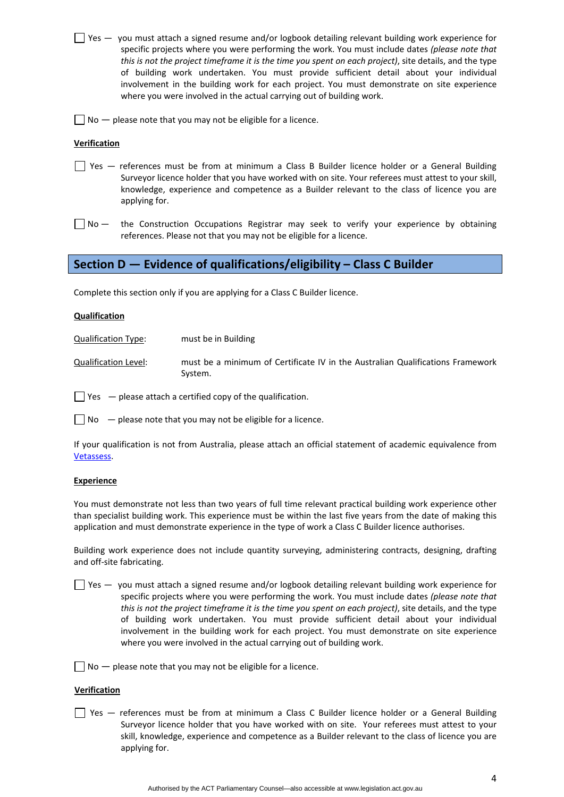- $\Box$  Yes  $-$  you must attach a signed resume and/or logbook detailing relevant building work experience for specific projects where you were performing the work. You must include dates *(please note that this is not the project timeframe it is the time you spent on each project)*, site details, and the type of building work undertaken. You must provide sufficient detail about your individual involvement in the building work for each project. You must demonstrate on site experience where you were involved in the actual carrying out of building work.
- $\Box$  No  $-$  please note that you may not be eligible for a licence.

### **Verification**

- Yes references must be from at minimum a Class B Builder licence holder or a General Building Surveyor licence holder that you have worked with on site. Your referees must attest to your skill, knowledge, experience and competence as a Builder relevant to the class of licence you are applying for.
- $\Box$  No  $-$  the Construction Occupations Registrar may seek to verify your experience by obtaining references. Please not that you may not be eligible for a licence.

# **Section D — Evidence of qualifications/eligibility – Class C Builder**

Complete this section only if you are applying for a Class C Builder licence.

### **Qualification**

Qualification Type: must be in Building

Qualification Level: must be a minimum of Certificate IV in the Australian Qualifications Framework System.

 $\Box$  Yes  $\Box$  please attach a certified copy of the qualification.

 $\Box$  No  $\Box$  please note that you may not be eligible for a licence.

If your qualification is not from Australia, please attach an official statement of academic equivalence from [Vetassess](http://www.vetassess.com.au/).

#### **Experience**

You must demonstrate not less than two years of full time relevant practical building work experience other than specialist building work. This experience must be within the last five years from the date of making this application and must demonstrate experience in the type of work a Class C Builder licence authorises.

Building work experience does not include quantity surveying, administering contracts, designing, drafting and off‐site fabricating.

 $\Box$  Yes  $-$  you must attach a signed resume and/or logbook detailing relevant building work experience for specific projects where you were performing the work. You must include dates *(please note that this is not the project timeframe it is the time you spent on each project)*, site details, and the type of building work undertaken. You must provide sufficient detail about your individual involvement in the building work for each project. You must demonstrate on site experience where you were involved in the actual carrying out of building work.

 $\Box$  No  $-$  please note that you may not be eligible for a licence.

#### **Verification**

Yes — references must be from at minimum a Class C Builder licence holder or a General Building Surveyor licence holder that you have worked with on site. Your referees must attest to your skill, knowledge, experience and competence as a Builder relevant to the class of licence you are applying for.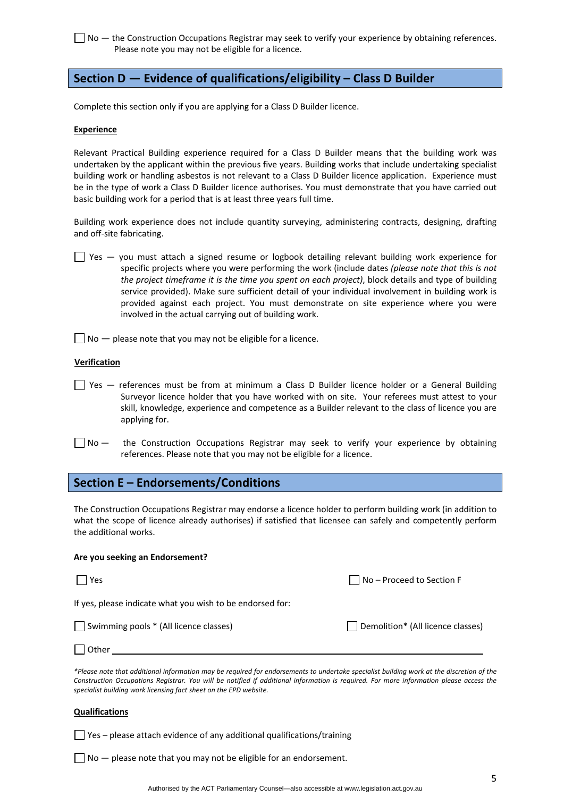□ No – the Construction Occupations Registrar may seek to verify your experience by obtaining references. Please note you may not be eligible for a licence.

# **Section D — Evidence of qualifications/eligibility – Class D Builder**

Complete this section only if you are applying for a Class D Builder licence.

#### **Experience**

Relevant Practical Building experience required for a Class D Builder means that the building work was undertaken by the applicant within the previous five years. Building works that include undertaking specialist building work or handling asbestos is not relevant to a Class D Builder licence application. Experience must be in the type of work a Class D Builder licence authorises. You must demonstrate that you have carried out basic building work for a period that is at least three years full time.

Building work experience does not include quantity surveying, administering contracts, designing, drafting and off‐site fabricating.

- Yes you must attach a signed resume or logbook detailing relevant building work experience for specific projects where you were performing the work (include dates *(please note that this is not the project timeframe it is the time you spent on each project)*, block details and type of building service provided). Make sure sufficient detail of your individual involvement in building work is provided against each project. You must demonstrate on site experience where you were involved in the actual carrying out of building work.
- $\Box$  No  $-$  please note that you may not be eligible for a licence.

#### **Verification**

- Yes references must be from at minimum a Class D Builder licence holder or a General Building Surveyor licence holder that you have worked with on site. Your referees must attest to your skill, knowledge, experience and competence as a Builder relevant to the class of licence you are applying for.
- $\Box$  No  $-$  the Construction Occupations Registrar may seek to verify your experience by obtaining references. Please note that you may not be eligible for a licence.

# **Section E – Endorsements/Conditions**

The Construction Occupations Registrar may endorse a licence holder to perform building work (in addition to what the scope of licence already authorises) if satisfied that licensee can safely and competently perform the additional works.

#### **Are you seeking an Endorsement?**

| l l Yes                                                   | $\Box$ No – Proceed to Section F  |
|-----------------------------------------------------------|-----------------------------------|
| If yes, please indicate what you wish to be endorsed for: |                                   |
| Swimming pools * (All licence classes)                    | Demolition* (All licence classes) |
| $\vert$   Other                                           |                                   |

\*Please note that additional information may be required for endorsements to undertake specialist building work at the discretion of the Construction Occupations Registrar. You will be notified if additional information is required. For more information please access the *specialist building work licensing fact sheet on the EPD website.*

#### **Qualifications**

 $\Box$  Yes – please attach evidence of any additional qualifications/training

 $\Box$  No  $-$  please note that you may not be eligible for an endorsement.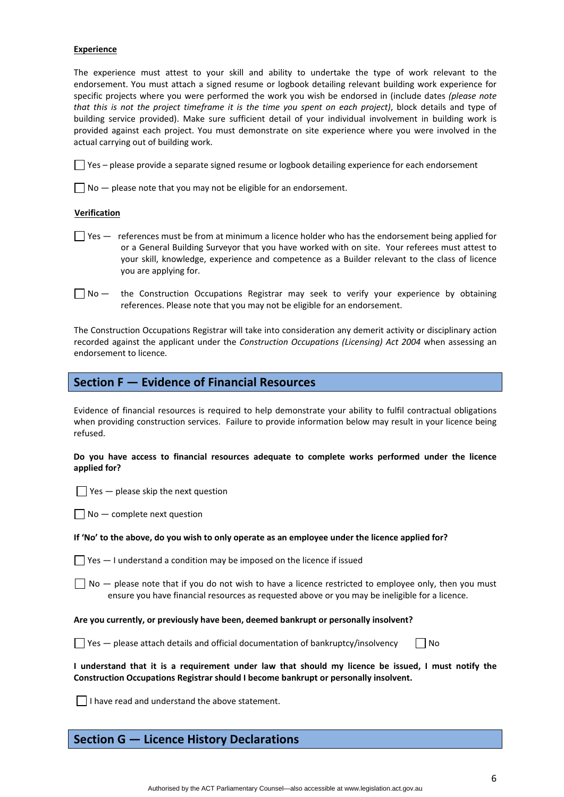### **Experience**

The experience must attest to your skill and ability to undertake the type of work relevant to the endorsement. You must attach a signed resume or logbook detailing relevant building work experience for specific projects where you were performed the work you wish be endorsed in (include dates *(please note that this is not the project timeframe it is the time you spent on each project)*, block details and type of building service provided). Make sure sufficient detail of your individual involvement in building work is provided against each project. You must demonstrate on site experience where you were involved in the actual carrying out of building work.

 $\Box$  Yes – please provide a separate signed resume or logbook detailing experience for each endorsement

 $\Box$  No  $-$  please note that you may not be eligible for an endorsement.

#### **Verification**

- $\Box$  Yes  $-$  references must be from at minimum a licence holder who has the endorsement being applied for or a General Building Surveyor that you have worked with on site. Your referees must attest to your skill, knowledge, experience and competence as a Builder relevant to the class of licence you are applying for.
- $\Box$  No  $-$  the Construction Occupations Registrar may seek to verify your experience by obtaining references. Please note that you may not be eligible for an endorsement.

The Construction Occupations Registrar will take into consideration any demerit activity or disciplinary action recorded against the applicant under the *Construction Occupations (Licensing) Act 2004* when assessing an endorsement to licence*.*

# **Section F — Evidence of Financial Resources**

Evidence of financial resources is required to help demonstrate your ability to fulfil contractual obligations when providing construction services. Failure to provide information below may result in your licence being refused.

### **Do you have access to financial resources adequate to complete works performed under the licence applied for?**

 $\Box$  Yes  $-$  please skip the next question

 $\Box$  No  $-$  complete next question

#### If 'No' to the above, do you wish to only operate as an employee under the licence applied for?

 $\Box$  Yes  $-$  I understand a condition may be imposed on the licence if issued

 $\Box$  No  $-$  please note that if you do not wish to have a licence restricted to employee only, then you must ensure you have financial resources as requested above or you may be ineligible for a licence.

#### **Are you currently, or previously have been, deemed bankrupt or personally insolvent?**

 $\Box$  Yes — please attach details and official documentation of bankruptcy/insolvency  $\Box$  No

|                                                                                      |  | I understand that it is a requirement under law that should my licence be issued, I must notify the |  |  |  |  |  |  |  |  |  |  |
|--------------------------------------------------------------------------------------|--|-----------------------------------------------------------------------------------------------------|--|--|--|--|--|--|--|--|--|--|
| Construction Occupations Registrar should I become bankrupt or personally insolvent. |  |                                                                                                     |  |  |  |  |  |  |  |  |  |  |

 $\Box$  I have read and understand the above statement.

# **Section G — Licence History Declarations**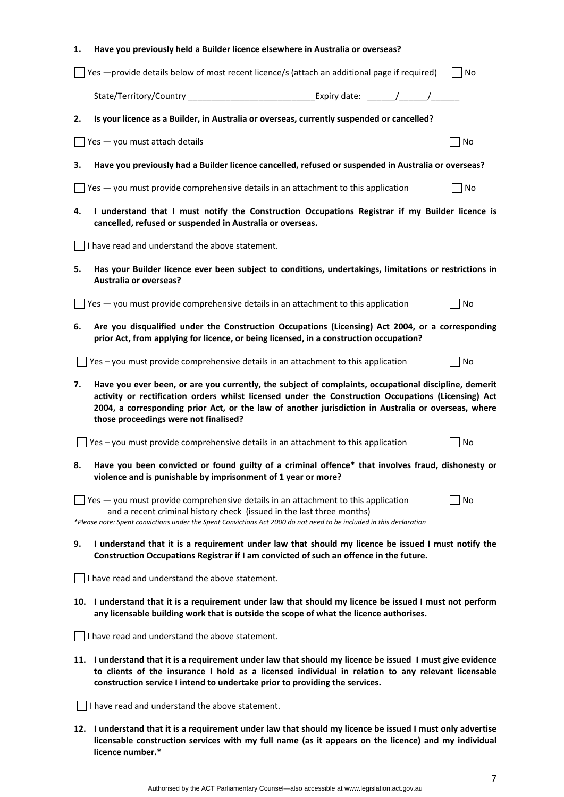| 1. | Have you previously held a Builder licence elsewhere in Australia or overseas?                                                                                                                                                                                                                                                                               |    |  |  |  |  |  |
|----|--------------------------------------------------------------------------------------------------------------------------------------------------------------------------------------------------------------------------------------------------------------------------------------------------------------------------------------------------------------|----|--|--|--|--|--|
|    | Yes - provide details below of most recent licence/s (attach an additional page if required)                                                                                                                                                                                                                                                                 | No |  |  |  |  |  |
|    | State/Territory/Country                                                                                                                                                                                                                                                                                                                                      |    |  |  |  |  |  |
| 2. | Is your licence as a Builder, in Australia or overseas, currently suspended or cancelled?                                                                                                                                                                                                                                                                    |    |  |  |  |  |  |
|    | Yes - you must attach details                                                                                                                                                                                                                                                                                                                                | No |  |  |  |  |  |
| 3. | Have you previously had a Builder licence cancelled, refused or suspended in Australia or overseas?                                                                                                                                                                                                                                                          |    |  |  |  |  |  |
|    | Yes - you must provide comprehensive details in an attachment to this application                                                                                                                                                                                                                                                                            | No |  |  |  |  |  |
| 4. | I understand that I must notify the Construction Occupations Registrar if my Builder licence is<br>cancelled, refused or suspended in Australia or overseas.                                                                                                                                                                                                 |    |  |  |  |  |  |
|    | I have read and understand the above statement.                                                                                                                                                                                                                                                                                                              |    |  |  |  |  |  |
| 5. | Has your Builder licence ever been subject to conditions, undertakings, limitations or restrictions in<br><b>Australia or overseas?</b>                                                                                                                                                                                                                      |    |  |  |  |  |  |
|    | Yes - you must provide comprehensive details in an attachment to this application                                                                                                                                                                                                                                                                            | No |  |  |  |  |  |
| 6. | Are you disqualified under the Construction Occupations (Licensing) Act 2004, or a corresponding<br>prior Act, from applying for licence, or being licensed, in a construction occupation?                                                                                                                                                                   |    |  |  |  |  |  |
|    | Yes - you must provide comprehensive details in an attachment to this application                                                                                                                                                                                                                                                                            | No |  |  |  |  |  |
| 7. | Have you ever been, or are you currently, the subject of complaints, occupational discipline, demerit<br>activity or rectification orders whilst licensed under the Construction Occupations (Licensing) Act<br>2004, a corresponding prior Act, or the law of another jurisdiction in Australia or overseas, where<br>those proceedings were not finalised? |    |  |  |  |  |  |
|    | Yes - you must provide comprehensive details in an attachment to this application                                                                                                                                                                                                                                                                            | No |  |  |  |  |  |
| 8. | Have you been convicted or found guilty of a criminal offence* that involves fraud, dishonesty or<br>violence and is punishable by imprisonment of 1 year or more?                                                                                                                                                                                           |    |  |  |  |  |  |
|    | $\Box$ Yes $-$ you must provide comprehensive details in an attachment to this application<br>and a recent criminal history check (issued in the last three months)<br>*Please note: Spent convictions under the Spent Convictions Act 2000 do not need to be included in this declaration                                                                   | No |  |  |  |  |  |
| 9. | I understand that it is a requirement under law that should my licence be issued I must notify the<br>Construction Occupations Registrar if I am convicted of such an offence in the future.                                                                                                                                                                 |    |  |  |  |  |  |
|    | I have read and understand the above statement.                                                                                                                                                                                                                                                                                                              |    |  |  |  |  |  |
|    | 10. I understand that it is a requirement under law that should my licence be issued I must not perform<br>any licensable building work that is outside the scope of what the licence authorises.                                                                                                                                                            |    |  |  |  |  |  |
|    | I have read and understand the above statement.                                                                                                                                                                                                                                                                                                              |    |  |  |  |  |  |
|    | 11. I understand that it is a requirement under law that should my licence be issued I must give evidence<br>to clients of the insurance I hold as a licensed individual in relation to any relevant licensable<br>construction service I intend to undertake prior to providing the services.                                                               |    |  |  |  |  |  |
|    | I have read and understand the above statement.                                                                                                                                                                                                                                                                                                              |    |  |  |  |  |  |
|    | 12. I understand that it is a requirement under law that should my licence be issued I must only advertise<br>licensable construction services with my full name (as it appears on the licence) and my individual                                                                                                                                            |    |  |  |  |  |  |

**licence number.\***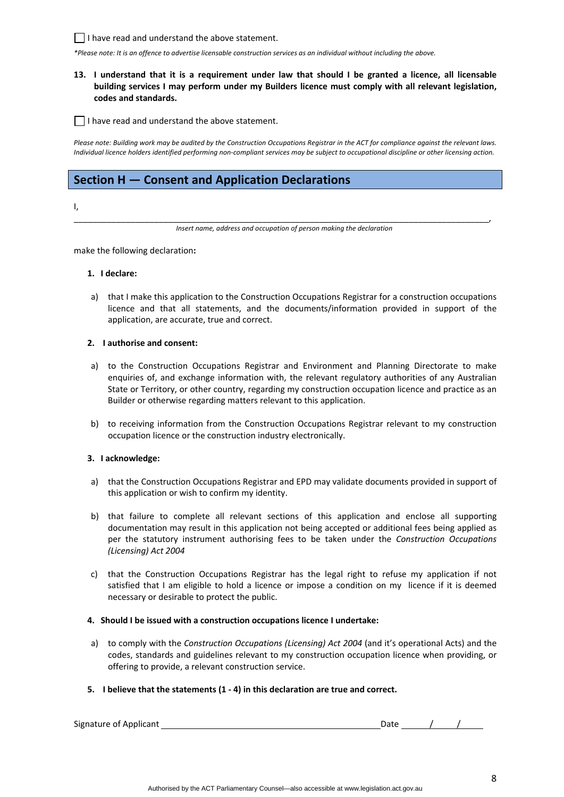$\Box$  I have read and understand the above statement.

\*Please note: It is an offence to advertise licensable construction services as an individual without including the above.

# 13. I understand that it is a requirement under law that should I be granted a licence, all licensable **building services I may perform under my Builders licence must comply with all relevant legislation, codes and standards.**

 $\Box$  I have read and understand the above statement.

Please note: Building work may be audited by the Construction Occupations Registrar in the ACT for compliance against the relevant laws. Individual licence holders identified performina non-compliant services may be subject to occupational discipline or other licensina action.

# **Section H — Consent and Application Declarations**

I,

\_\_\_\_\_\_\_\_\_\_\_\_\_\_\_\_\_\_\_\_\_\_\_\_\_\_\_\_\_\_\_\_\_\_\_\_\_\_\_\_\_\_\_\_\_\_\_\_\_\_\_\_\_\_\_\_\_\_\_\_\_\_\_\_\_\_\_\_\_\_\_\_\_\_\_\_\_\_\_\_\_\_\_\_\_\_\_\_, *Insert name, address and occupation of person making the declaration*

make the following declaration**:**

### **1. I declare:**

a) that I make this application to the Construction Occupations Registrar for a construction occupations licence and that all statements, and the documents/information provided in support of the application, are accurate, true and correct.

### **2. I authorise and consent:**

- a) to the Construction Occupations Registrar and Environment and Planning Directorate to make enquiries of, and exchange information with, the relevant regulatory authorities of any Australian State or Territory, or other country, regarding my construction occupation licence and practice as an Builder or otherwise regarding matters relevant to this application.
- b) to receiving information from the Construction Occupations Registrar relevant to my construction occupation licence or the construction industry electronically.

## **3. I acknowledge:**

- a) that the Construction Occupations Registrar and EPD may validate documents provided in support of this application or wish to confirm my identity.
- b) that failure to complete all relevant sections of this application and enclose all supporting documentation may result in this application not being accepted or additional fees being applied as per the statutory instrument authorising fees to be taken under the *Construction Occupations (Licensing) Act 2004*
- c) that the Construction Occupations Registrar has the legal right to refuse my application if not satisfied that I am eligible to hold a licence or impose a condition on my licence if it is deemed necessary or desirable to protect the public.

#### **4. Should I be issued with a construction occupations licence I undertake:**

- a) to comply with the *Construction Occupations (Licensing) Act 2004* (and it's operational Acts) and the codes, standards and guidelines relevant to my construction occupation licence when providing, or offering to provide, a relevant construction service.
- **5. I believe that the statements (1 ‐ 4) in this declaration are true and correct.**

Signature of Applicant *Multimers*  $\frac{1}{2}$  Date *Date <u>Date 1</u>*